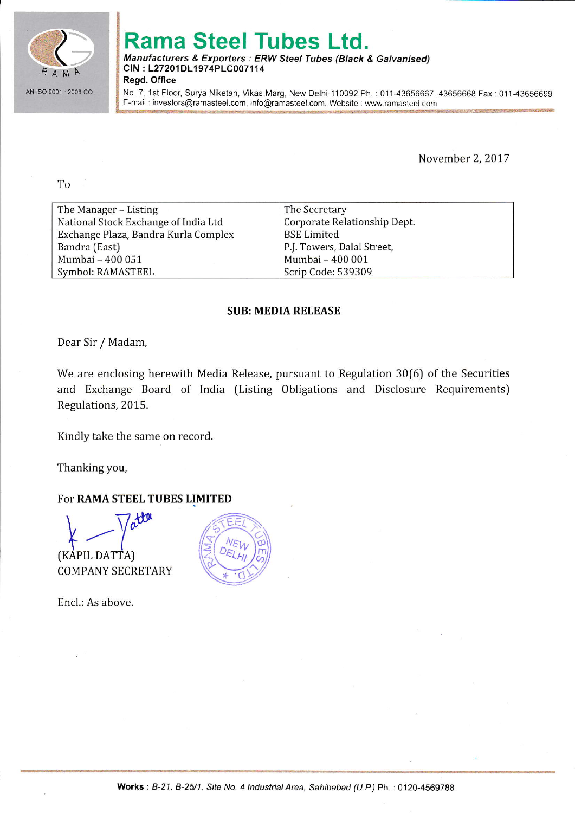

# Rama Steel Tubes Ltd.

#### Manufacturers & Exporters: ERW Steel Tubes (Black & Galvanised) CIN: L27201DL1974PLC007114 Regd. Office

No. 7. 1st Floor, Surya Niketan, Vikas Marg, New Delhi-110092 Ph. : 011-43656667, 43656668 Fax : 011-43656699 E-mail : investors@ramasteel.com, info@ramasteel.com, Website : www.ramasteei.com

November 2, 2017

To

| The Manager – Listing                | The Secretary                |
|--------------------------------------|------------------------------|
| National Stock Exchange of India Ltd | Corporate Relationship Dept. |
| Exchange Plaza, Bandra Kurla Complex | BSE Limited                  |
| Bandra (East)                        | P.J. Towers, Dalal Street,   |
| Mumbai - 400 051                     | Mumbai - 400 001             |
| Symbol: RAMASTEEL                    | Scrip Code: 539309           |

## SUB: MEDIA RELEASE

Dear Sir / Madam,

We are enclosing herewith Media Release, pursuant to Regulation 30[6) of the Securities and Exchange Board of India (Listing Obligations and Disclosure Requirements) Regulations, 2015.

Kindly take the same on record.

Thanking you,

## For RAMA STEEL TUBES LIMITED

 $\,\bigtimes\,$ (KAPIL DATTA)

COMPANY SECRETARY

Encl.: As above.

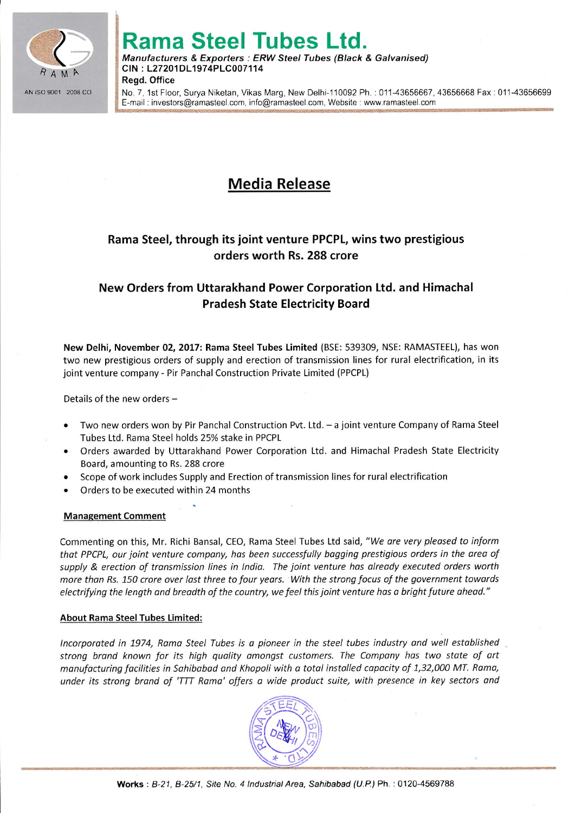

# Rama Steel Tubes Ltd.

Manufacturers & Exporters : ERW Steel Tubes (Black & Galvanised) CIN : L27201DL1974PLC007114 Regd. Office

No. 7, 1st Floor, Surya Niketan, Vikas Marg, New Delhi-110092 Ph.: 011-43656667, 43656668 Fax: 011-43656699 E-mail : inveslors@ramasleel.com, info@ramasleel.com. Websiie : www.ramasteel.corn

# Media Release

# Rama Steel, through its joint venture PPCPL, wins two prestigious orders worth Rs. 288 crore

## New Orders from Uttarakhand Power Corporation Ltd. and Himachal Pradesh State Electricity Board

New Delhi, November 02, 2017: Rama steel Tubes Limited (BSE: 539309, NSE: RAMASTEEL), has won two new prestigious orders of supply and erection of transmission lines for rural electrification, in its joint venture company - Pir Panchal Construction Private Limited (PPCPL)

Details of the new orders  $-$ 

- Two new orders won by Pir Panchal Construction Pvt. Ltd. a joint venture Company of Rama Steel Tubes Ltd. Rama Steel holds 25% stake in PPCPL
- . Orders awarded by Uttarakhand Power Corporation Ltd. and Himachal Pradesh State Electricity Board, amounting to Rs. 288 crore
- . Scope of work includes Supply and Erection of transmission lines for rural electrification
- . Orders to be executed within 24 months

### Management Comment

Commenting on this, Mr. Richi Bansal, CEO, Rama Steel Tubes Ltd said, "We are very pleased to inform that PPCPL, our joint venture company, has been successfully bagging prestigious orders in the area of supply & erection of transmission lines in India. The joint venture has already executed orders worth more than Rs. 150 crore over last three to four years. With the strong focus of the government towards electrifying the length and breadth of the country, we feel this joint venture has a bright future ahead."

### About Rama Steel Tubes Limited:

lncorporoted in 1974, Romo Steel Tubes is d pioneer in the steel tubes industry ond well estoblished strong brand known for its high quality amongst customers. The Company has two state of art monufocturing focilities in Sohibobad ond Khopoli with o totdl instolled capocity of 1,32,000 MT. Roma, under its strong brand of 'TTT Rama' offers a wide product suite, with presence in key sectors and